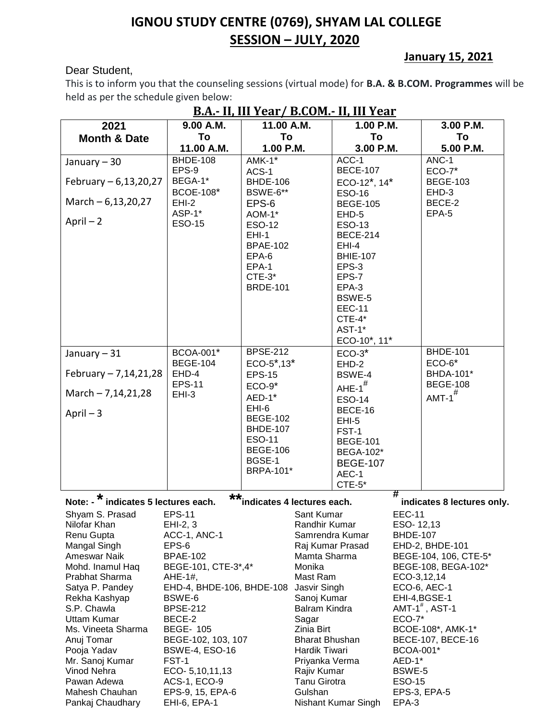## **IGNOU STUDY CENTRE (0769), SHYAM LAL COLLEGE SESSION – JULY, 2020**

## Dear Student,

## **January 15, 2021**

This is to inform you that the counseling sessions (virtual mode) for **B.A. & B.COM. Programmes** will be held as per the schedule given below:

| <u>B.A.- II, III Year / B.CUM.- II, III Year</u>                                                       |                                        |                                  |                       |                                        |                 |                              |  |
|--------------------------------------------------------------------------------------------------------|----------------------------------------|----------------------------------|-----------------------|----------------------------------------|-----------------|------------------------------|--|
| 2021                                                                                                   | 9.00 A.M.                              | 11.00 A.M.                       |                       | 1.00 P.M.                              |                 | 3.00 P.M.                    |  |
| <b>Month &amp; Date</b>                                                                                | To                                     | To                               |                       | To                                     |                 | To                           |  |
|                                                                                                        | 11.00 A.M.                             | 1.00 P.M.                        |                       | 3.00 P.M.                              |                 | 5.00 P.M.                    |  |
| January - 30                                                                                           | <b>BHDE-108</b>                        | $AMK-1*$                         |                       | ACC-1                                  |                 | ANC-1                        |  |
|                                                                                                        | EPS-9                                  | ACS-1                            |                       | <b>BECE-107</b>                        |                 | $ECO-7*$                     |  |
| February $-6,13,20,27$                                                                                 | BEGA-1*                                | <b>BHDE-106</b>                  |                       | ECO-12 <sup>*</sup> , 14 <sup>*</sup>  |                 | <b>BEGE-103</b>              |  |
|                                                                                                        | <b>BCOE-108*</b>                       | BSWE-6**                         |                       | <b>ESO-16</b>                          |                 | EHD-3                        |  |
| March $-6,13,20,27$                                                                                    | $EHI-2$                                | EPS-6                            |                       | <b>BEGE-105</b>                        |                 | BECE-2                       |  |
|                                                                                                        | ASP-1*                                 | AOM-1*                           |                       | EHD-5                                  |                 | EPA-5                        |  |
| April $-2$                                                                                             | <b>ESO-15</b>                          | <b>ESO-12</b>                    |                       | ESO-13                                 |                 |                              |  |
|                                                                                                        |                                        | $EHI-1$                          |                       | <b>BECE-214</b>                        |                 |                              |  |
|                                                                                                        |                                        | <b>BPAE-102</b>                  |                       | EHI-4                                  |                 |                              |  |
|                                                                                                        |                                        | EPA-6                            |                       | <b>BHIE-107</b>                        |                 |                              |  |
|                                                                                                        |                                        | EPA-1                            |                       | EPS-3                                  |                 |                              |  |
|                                                                                                        |                                        | $CTE-3*$                         |                       | EPS-7                                  |                 |                              |  |
|                                                                                                        |                                        | <b>BRDE-101</b>                  |                       | EPA-3                                  |                 |                              |  |
|                                                                                                        |                                        |                                  |                       | BSWE-5                                 |                 |                              |  |
|                                                                                                        |                                        |                                  |                       | <b>EEC-11</b>                          |                 |                              |  |
|                                                                                                        |                                        |                                  |                       | CTE-4*                                 |                 |                              |  |
|                                                                                                        |                                        |                                  |                       | AST-1*                                 |                 |                              |  |
|                                                                                                        |                                        |                                  |                       | ECO-10*, 11*                           |                 |                              |  |
| January - 31                                                                                           | <b>BCOA-001*</b>                       | <b>BPSE-212</b>                  |                       | $ECO-3*$                               |                 | <b>BHDE-101</b>              |  |
|                                                                                                        | <b>BEGE-104</b>                        | $ECO-5^*$ ,13 $*$                |                       | $EHD-2$                                |                 | $ECO-6*$                     |  |
| February $-7,14,21,28$                                                                                 | EHD-4<br><b>EPS-11</b>                 | <b>EPS-15</b>                    |                       | BSWE-4                                 |                 | BHDA-101*<br><b>BEGE-108</b> |  |
| March - 7,14,21,28                                                                                     | $EHI-3$                                | $ECO-9*$                         |                       | AHE- $1^{\#}$                          |                 |                              |  |
|                                                                                                        |                                        | AED-1*                           |                       | <b>ESO-14</b>                          |                 | $AMT-1$ <sup>#</sup>         |  |
| April $-3$                                                                                             |                                        | EHI-6                            |                       | BECE-16                                |                 |                              |  |
|                                                                                                        |                                        | <b>BEGE-102</b>                  |                       | $EHI-5$                                |                 |                              |  |
|                                                                                                        |                                        | <b>BHDE-107</b>                  |                       | FST-1                                  |                 |                              |  |
|                                                                                                        |                                        | <b>ESO-11</b><br><b>BEGE-106</b> |                       | <b>BEGE-101</b>                        |                 |                              |  |
|                                                                                                        |                                        | BGSE-1                           |                       | <b>BEGA-102*</b>                       |                 |                              |  |
|                                                                                                        |                                        | <b>BRPA-101*</b>                 |                       | <b>BEGE-107</b>                        |                 |                              |  |
|                                                                                                        |                                        |                                  |                       | AEC-1                                  |                 |                              |  |
|                                                                                                        |                                        |                                  |                       | $CTE-5*$                               | #               |                              |  |
| **<br>Note: - * indicates 5 lectures each.<br>indicates 4 lectures each.<br>indicates 8 lectures only. |                                        |                                  |                       |                                        |                 |                              |  |
| Shyam S. Prasad                                                                                        | <b>EPS-11</b>                          |                                  | Sant Kumar            |                                        | <b>EEC-11</b>   |                              |  |
| Nilofar Khan                                                                                           | EHI-2, 3                               |                                  | Randhir Kumar         |                                        | ESO-12,13       |                              |  |
| Renu Gupta                                                                                             | ACC-1, ANC-1                           |                                  |                       | Samrendra Kumar                        | <b>BHDE-107</b> |                              |  |
| Mangal Singh                                                                                           | EPS-6                                  |                                  |                       | Raj Kumar Prasad                       |                 | EHD-2, BHDE-101              |  |
| Ameswar Naik                                                                                           | <b>BPAE-102</b>                        |                                  | Mamta Sharma          |                                        |                 | BEGE-104, 106, CTE-5*        |  |
| Mohd. Inamul Haq                                                                                       | BEGE-101, CTE-3*,4*                    |                                  | Monika                |                                        |                 | BEGE-108, BEGA-102*          |  |
| Prabhat Sharma                                                                                         | AHE-1#,                                |                                  | Mast Ram              |                                        | ECO-3,12,14     |                              |  |
| Satya P. Pandey                                                                                        | EHD-4, BHDE-106, BHDE-108              |                                  | Jasvir Singh          |                                        |                 | ECO-6, AEC-1                 |  |
| Rekha Kashyap                                                                                          | BSWE-6                                 |                                  | Sanoj Kumar           |                                        |                 | EHI-4, BGSE-1                |  |
| S.P. Chawla                                                                                            | <b>BPSE-212</b>                        |                                  | Balram Kindra         |                                        |                 | $AMT-1$ <sup>#</sup> , AST-1 |  |
| <b>Uttam Kumar</b>                                                                                     | BECE-2                                 | Sagar<br>Zinia Birt              |                       | <b>ECO-7*</b>                          |                 |                              |  |
| Ms. Vineeta Sharma<br>Anuj Tomar                                                                       | <b>BEGE- 105</b><br>BEGE-102, 103, 107 | <b>Bharat Bhushan</b>            |                       | BCOE-108*, AMK-1*<br>BECE-107, BECE-16 |                 |                              |  |
| Pooja Yadav                                                                                            | <b>BSWE-4, ESO-16</b>                  | Hardik Tiwari<br>BCOA-001*       |                       |                                        |                 |                              |  |
| Mr. Sanoj Kumar                                                                                        | FST-1                                  |                                  | Priyanka Verma        |                                        | AED-1*          |                              |  |
| Vinod Nehra                                                                                            | ECO- 5,10,11,13                        |                                  | Rajiv Kumar<br>BSWE-5 |                                        |                 |                              |  |
| Pawan Adewa                                                                                            | <b>ACS-1, ECO-9</b>                    |                                  | <b>Tanu Girotra</b>   |                                        | <b>ESO-15</b>   |                              |  |
| Mahesh Chauhan                                                                                         | EPS-9, 15, EPA-6                       |                                  | Gulshan               |                                        |                 | EPS-3, EPA-5                 |  |
| Pankaj Chaudhary                                                                                       | EHI-6, EPA-1                           | Nishant Kumar Singh              |                       | EPA-3                                  |                 |                              |  |

## **B.A.- II, III Year/ B.COM.- II, III Year**